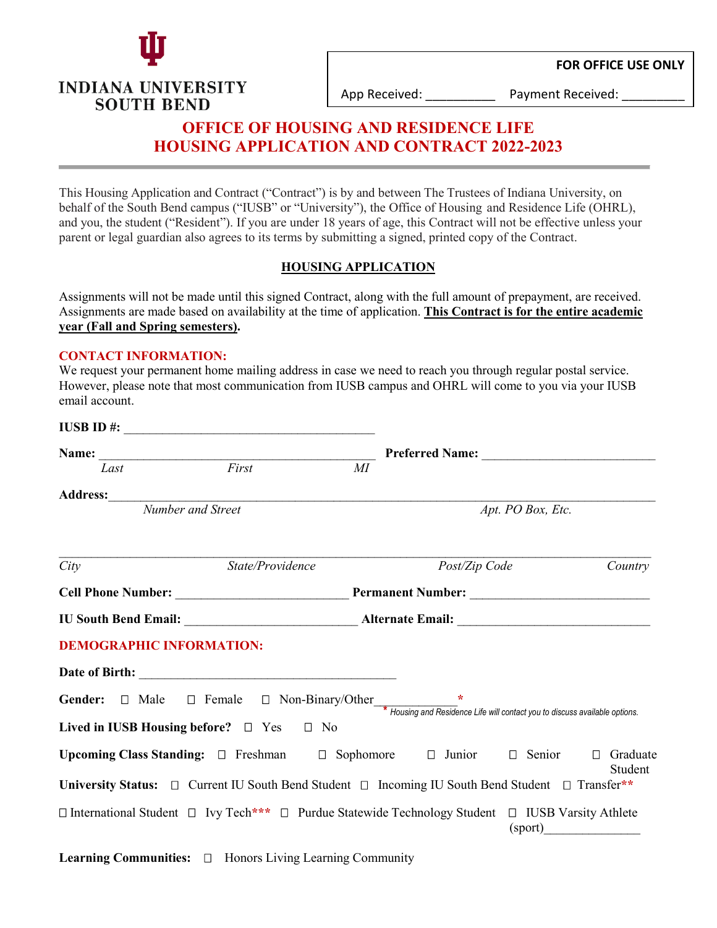

**INDIANA UNIVERSITY** 

**SOUTH BEND** 

App Received: <br> Payment Received:

# **OFFICE OF HOUSING AND RESIDENCE LIFE HOUSING APPLICATION AND CONTRACT 2022-2023**

This Housing Application and Contract ("Contract") is by and between The Trustees of Indiana University, on behalf of the South Bend campus ("IUSB" or "University"), the Office of Housing and Residence Life (OHRL), and you, the student ("Resident"). If you are under 18 years of age, this Contract will not be effective unless your parent or legal guardian also agrees to its terms by submitting a signed, printed copy of the Contract.

### **HOUSING APPLICATION**

Assignments will not be made until this signed Contract, along with the full amount of prepayment, are received. Assignments are made based on availability at the time of application. **This Contract is for the entire academic year (Fall and Spring semesters).**

#### **CONTACT INFORMATION:**

We request your permanent home mailing address in case we need to reach you through regular postal service. However, please note that most communication from IUSB campus and OHRL will come to you via your IUSB email account.

| Name:                                                                                                                                                    |                  |    |                   |         |         |
|----------------------------------------------------------------------------------------------------------------------------------------------------------|------------------|----|-------------------|---------|---------|
| Last                                                                                                                                                     | First            | MI |                   |         |         |
|                                                                                                                                                          |                  |    |                   |         |         |
| Number and Street                                                                                                                                        |                  |    | Apt. PO Box, Etc. |         |         |
| City                                                                                                                                                     | State/Providence |    | Post/Zip Code     |         | Country |
|                                                                                                                                                          |                  |    |                   |         |         |
|                                                                                                                                                          |                  |    |                   |         |         |
| <b>DEMOGRAPHIC INFORMATION:</b>                                                                                                                          |                  |    |                   |         |         |
|                                                                                                                                                          |                  |    |                   |         |         |
| <b>Gender:</b> $\Box$ Male $\Box$ Female $\Box$ Non-Binary/Other $\frac{*}{*}$ Housing and Residence Life will contact you to discuss available options. |                  |    |                   |         |         |
| Lived in IUSB Housing before? $\Box$ Yes $\Box$ No                                                                                                       |                  |    |                   |         |         |
| Upcoming Class Standing: $\Box$ Freshman $\Box$ Sophomore $\Box$ Junior $\Box$ Senior $\Box$ Graduate                                                    |                  |    |                   |         | Student |
| University Status: □ Current IU South Bend Student □ Incoming IU South Bend Student □ Transfer**                                                         |                  |    |                   |         |         |
| □ International Student □ Ivy Tech*** □ Purdue Statewide Technology Student □ IUSB Varsity Athlete                                                       |                  |    |                   | (sport) |         |

Learning Communities:  $\Box$  Honors Living Learning Community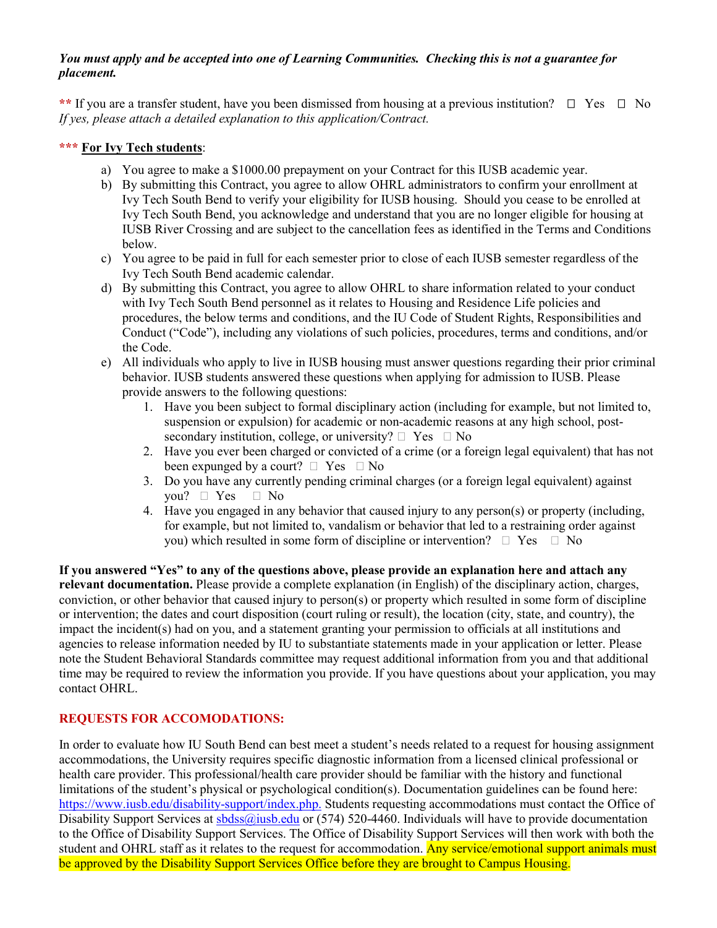#### *You must apply and be accepted into one of Learning Communities. Checking this is not a guarantee for placement.*

\*\* If you are a transfer student, have you been dismissed from housing at a previous institution?  $\Box$  Yes  $\Box$  No *If yes, please attach a detailed explanation to this application/Contract.*

### **\*\*\* For Ivy Tech students**:

- a) You agree to make a \$1000.00 prepayment on your Contract for this IUSB academic year.
- b) By submitting this Contract, you agree to allow OHRL administrators to confirm your enrollment at Ivy Tech South Bend to verify your eligibility for IUSB housing. Should you cease to be enrolled at Ivy Tech South Bend, you acknowledge and understand that you are no longer eligible for housing at IUSB River Crossing and are subject to the cancellation fees as identified in the Terms and Conditions below.
- c) You agree to be paid in full for each semester prior to close of each IUSB semester regardless of the Ivy Tech South Bend academic calendar.
- d) By submitting this Contract, you agree to allow OHRL to share information related to your conduct with Ivy Tech South Bend personnel as it relates to Housing and Residence Life policies and procedures, the below terms and conditions, and the IU Code of Student Rights, Responsibilities and Conduct ("Code"), including any violations of such policies, procedures, terms and conditions, and/or the Code.
- e) All individuals who apply to live in IUSB housing must answer questions regarding their prior criminal behavior. IUSB students answered these questions when applying for admission to IUSB. Please provide answers to the following questions:
	- 1. Have you been subject to formal disciplinary action (including for example, but not limited to, suspension or expulsion) for academic or non-academic reasons at any high school, postsecondary institution, college, or university?  $\Box$  Yes  $\Box$  No
	- 2. Have you ever been charged or convicted of a crime (or a foreign legal equivalent) that has not been expunged by a court?  $\Box$  Yes  $\Box$  No
	- 3. Do you have any currently pending criminal charges (or a foreign legal equivalent) against you?  $\Box$  Yes  $\Box$  No
	- 4. Have you engaged in any behavior that caused injury to any person(s) or property (including, for example, but not limited to, vandalism or behavior that led to a restraining order against you) which resulted in some form of discipline or intervention?  $\Box$  Yes  $\Box$  No

**If you answered "Yes" to any of the questions above, please provide an explanation here and attach any relevant documentation.** Please provide a complete explanation (in English) of the disciplinary action, charges, conviction, or other behavior that caused injury to person(s) or property which resulted in some form of discipline or intervention; the dates and court disposition (court ruling or result), the location (city, state, and country), the impact the incident(s) had on you, and a statement granting your permission to officials at all institutions and agencies to release information needed by IU to substantiate statements made in your application or letter. Please note the Student Behavioral Standards committee may request additional information from you and that additional time may be required to review the information you provide. If you have questions about your application, you may contact OHRL.

### **REQUESTS FOR ACCOMODATIONS:**

In order to evaluate how IU South Bend can best meet a student's needs related to a request for housing assignment accommodations, the University requires specific diagnostic information from a licensed clinical professional or health care provider. This professional/health care provider should be familiar with the history and functional limitations of the student's physical or psychological condition(s). Documentation guidelines can be found here: [https://www.iusb.edu/disability-support/index.php.](https://www.iusb.edu/disability-support/index.php) Students requesting accommodations must contact the Office of Disability Support Services at  $sbdss@i$ usb.edu or (574) 520-4460. Individuals will have to provide documentation to the Office of Disability Support Services. The Office of Disability Support Services will then work with both the student and OHRL staff as it relates to the request for accommodation. Any service/emotional support animals must be approved by the Disability Support Services Office before they are brought to Campus Housing.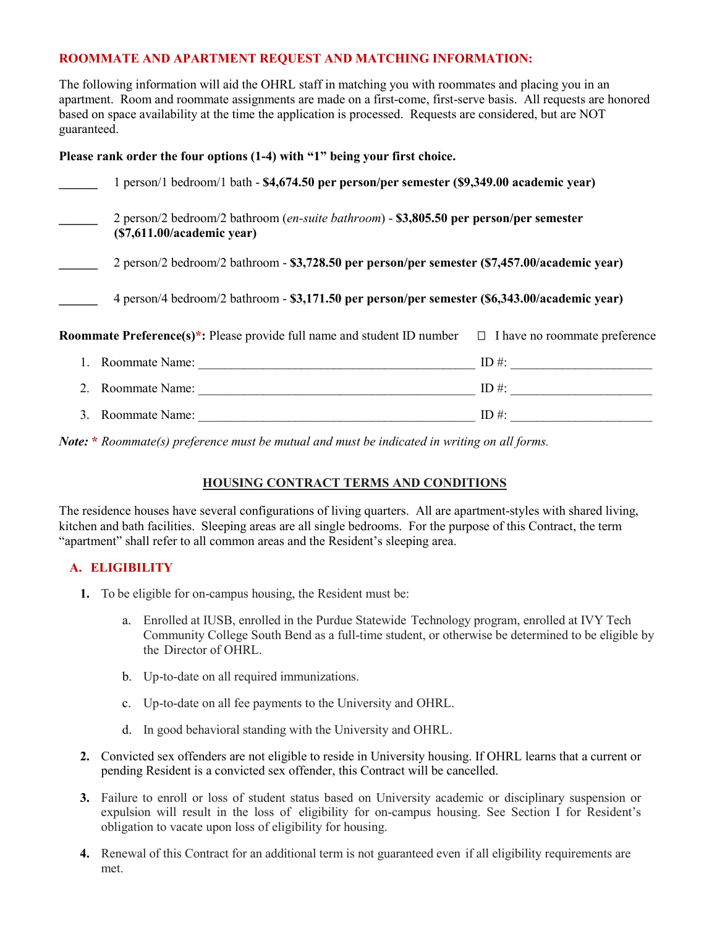### **ROOMMATE AND APARTMENT REQUEST AND MATCHING INFORMATION:**

The following information will aid the OHRL staff in matching you with roommates and placing you in an apartment. Room and roommate assignments are made on a first-come, first-serve basis. All requests are honored based on space availability at the time the application is processed. Requests are considered, but are NOT guaranteed.

### **Please rank order the four options (1-4) with "1" being your first choice.**

| 1 person/1 bedroom/1 bath - \$4,674.50 per person/per semester (\$9,349.00 academic year)                           |       |
|---------------------------------------------------------------------------------------------------------------------|-------|
| 2 person/2 bedroom/2 bathroom (en-suite bathroom) - \$3,805.50 per person/per semester<br>(S7,611.00/academic year) |       |
| 2 person/2 bedroom/2 bathroom - \$3,728.50 per person/per semester (\$7,457.00/academic year)                       |       |
| 4 person/4 bedroom/2 bathroom - \$3,171.50 per person/per semester (\$6,343.00/academic year)                       |       |
| <b>Roommate Preference(s)*:</b> Please provide full name and student ID number $\Box$ I have no roommate preference |       |
| Roommate Name:                                                                                                      | ID #: |
| 2. Roommate Name:                                                                                                   | ID #: |
| 3. Roommate Name:                                                                                                   | ID #: |

*Note:* **\*** *Roommate(s) preference must be mutual and must be indicated in writing on all forms.*

## **HOUSING CONTRACT TERMS AND CONDITIONS**

The residence houses have several configurations of living quarters. All are apartment-styles with shared living, kitchen and bath facilities. Sleeping areas are all single bedrooms. For the purpose of this Contract, the term "apartment" shall refer to all common areas and the Resident's sleeping area.

### **A. ELIGIBILITY**

- **1.** To be eligible for on-campus housing, the Resident must be:
	- a. Enrolled at IUSB, enrolled in the Purdue Statewide Technology program, enrolled at IVY Tech Community College South Bend as a full-time student, or otherwise be determined to be eligible by the Director of OHRL.
	- b. Up-to-date on all required immunizations.
	- c. Up-to-date on all fee payments to the University and OHRL.
	- d. In good behavioral standing with the University and OHRL.
- **2.** Convicted sex offenders are not eligible to reside in University housing. If OHRL learns that a current or pending Resident is a convicted sex offender, this Contract will be cancelled.
- **3.** Failure to enroll or loss of student status based on University academic or disciplinary suspension or expulsion will result in the loss of eligibility for on-campus housing. See Section I for Resident's obligation to vacate upon loss of eligibility for housing.
- **4.** Renewal of this Contract for an additional term is not guaranteed even if all eligibility requirements are met.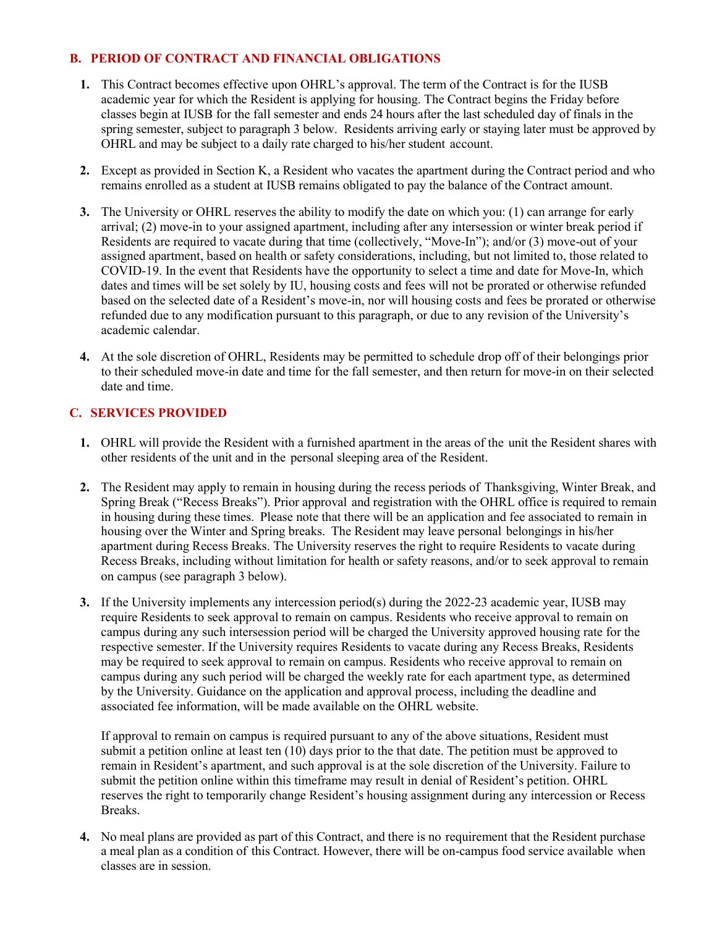### **B. PERIOD OF CONTRACT AND FINANCIAL OBLIGATIONS**

- **1.** This Contract becomes effective upon OHRL's approval. The term of the Contract is for the IUSB academic year for which the Resident is applying for housing. The Contract begins the Friday before classes begin at IUSB for the fall semester and ends 24 hours after the last scheduled day of finals in the spring semester, subject to paragraph 3 below. Residents arriving early or staying later must be approved by OHRL and may be subject to a daily rate charged to his/her student account.
- **2.** Except as provided in Section K, a Resident who vacates the apartment during the Contract period and who remains enrolled as a student at IUSB remains obligated to pay the balance of the Contract amount.
- **3.** The University or OHRL reserves the ability to modify the date on which you: (1) can arrange for early arrival; (2) move-in to your assigned apartment, including after any intersession or winter break period if Residents are required to vacate during that time (collectively, "Move-In"); and/or (3) move-out of your assigned apartment, based on health or safety considerations, including, but not limited to, those related to COVID-19. In the event that Residents have the opportunity to select a time and date for Move-In, which dates and times will be set solely by IU, housing costs and fees will not be prorated or otherwise refunded based on the selected date of a Resident's move-in, nor will housing costs and fees be prorated or otherwise refunded due to any modification pursuant to this paragraph, or due to any revision of the University's academic calendar.
- **4.** At the sole discretion of OHRL, Residents may be permitted to schedule drop off of their belongings prior to their scheduled move-in date and time for the fall semester, and then return for move-in on their selected date and time.

### **C. SERVICES PROVIDED**

- **1.** OHRL will provide the Resident with a furnished apartment in the areas of the unit the Resident shares with other residents of the unit and in the personal sleeping area of the Resident.
- **2.** The Resident may apply to remain in housing during the recess periods of Thanksgiving, Winter Break, and Spring Break ("Recess Breaks"). Prior approval and registration with the OHRL office is required to remain in housing during these times. Please note that there will be an application and fee associated to remain in housing over the Winter and Spring breaks. The Resident may leave personal belongings in his/her apartment during Recess Breaks. The University reserves the right to require Residents to vacate during Recess Breaks, including without limitation for health or safety reasons, and/or to seek approval to remain on campus (see paragraph 3 below).
- **3.** If the University implements any intercession period(s) during the 2022-23 academic year, IUSB may require Residents to seek approval to remain on campus. Residents who receive approval to remain on campus during any such intersession period will be charged the University approved housing rate for the respective semester. If the University requires Residents to vacate during any Recess Breaks, Residents may be required to seek approval to remain on campus. Residents who receive approval to remain on campus during any such period will be charged the weekly rate for each apartment type, as determined by the University. Guidance on the application and approval process, including the deadline and associated fee information, will be made available on the OHRL website.

If approval to remain on campus is required pursuant to any of the above situations, Resident must submit a petition online at least ten (10) days prior to the that date. The petition must be approved to remain in Resident's apartment, and such approval is at the sole discretion of the University. Failure to submit the petition online within this timeframe may result in denial of Resident's petition. OHRL reserves the right to temporarily change Resident's housing assignment during any intercession or Recess Breaks.

**4.** No meal plans are provided as part of this Contract, and there is no requirement that the Resident purchase a meal plan as a condition of this Contract. However, there will be on-campus food service available when classes are in session.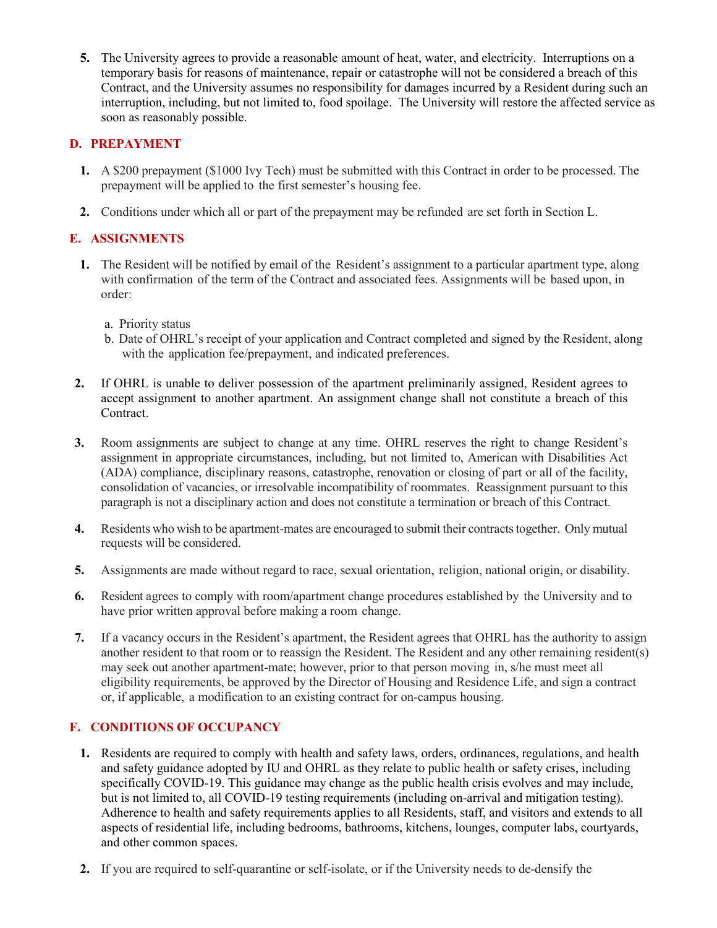**5.** The University agrees to provide a reasonable amount of heat, water, and electricity. Interruptions on a temporary basis for reasons of maintenance, repair or catastrophe will not be considered a breach of this Contract, and the University assumes no responsibility for damages incurred by a Resident during such an interruption, including, but not limited to, food spoilage. The University will restore the affected service as soon as reasonably possible.

### **D. PREPAYMENT**

- **1.** A \$200 prepayment (\$1000 Ivy Tech) must be submitted with this Contract in order to be processed. The prepayment will be applied to the first semester's housing fee.
- **2.** Conditions under which all or part of the prepayment may be refunded are set forth in Section L.

## **E. ASSIGNMENTS**

- **1.** The Resident will be notified by email of the Resident's assignment to a particular apartment type, along with confirmation of the term of the Contract and associated fees. Assignments will be based upon, in order:
	- a. Priority status
	- b. Date of OHRL's receipt of your application and Contract completed and signed by the Resident, along with the application fee/prepayment, and indicated preferences.
- **2.** If OHRL is unable to deliver possession of the apartment preliminarily assigned, Resident agrees to accept assignment to another apartment. An assignment change shall not constitute a breach of this Contract.
- **3.** Room assignments are subject to change at any time. OHRL reserves the right to change Resident's assignment in appropriate circumstances, including, but not limited to, American with Disabilities Act (ADA) compliance, disciplinary reasons, catastrophe, renovation or closing of part or all of the facility, consolidation of vacancies, or irresolvable incompatibility of roommates. Reassignment pursuant to this paragraph is not a disciplinary action and does not constitute a termination or breach of this Contract.
- **4.** Residents who wish to be apartment-mates are encouraged to submit their contracts together. Only mutual requests will be considered.
- **5.** Assignments are made without regard to race, sexual orientation, religion, national origin, or disability.
- **6.** Resident agrees to comply with room/apartment change procedures established by the University and to have prior written approval before making a room change.
- **7.** If a vacancy occurs in the Resident's apartment, the Resident agrees that OHRL has the authority to assign another resident to that room or to reassign the Resident. The Resident and any other remaining resident(s) may seek out another apartment-mate; however, prior to that person moving in, s/he must meet all eligibility requirements, be approved by the Director of Housing and Residence Life, and sign a contract or, if applicable, a modification to an existing contract for on-campus housing.

## **F. CONDITIONS OF OCCUPANCY**

- **1.** Residents are required to comply with health and safety laws, orders, ordinances, regulations, and health and safety guidance adopted by IU and OHRL as they relate to public health or safety crises, including specifically COVID-19. This guidance may change as the public health crisis evolves and may include, but is not limited to, all COVID-19 testing requirements (including on-arrival and mitigation testing). Adherence to health and safety requirements applies to all Residents, staff, and visitors and extends to all aspects of residential life, including bedrooms, bathrooms, kitchens, lounges, computer labs, courtyards, and other common spaces.
- **2.** If you are required to self-quarantine or self-isolate, or if the University needs to de-densify the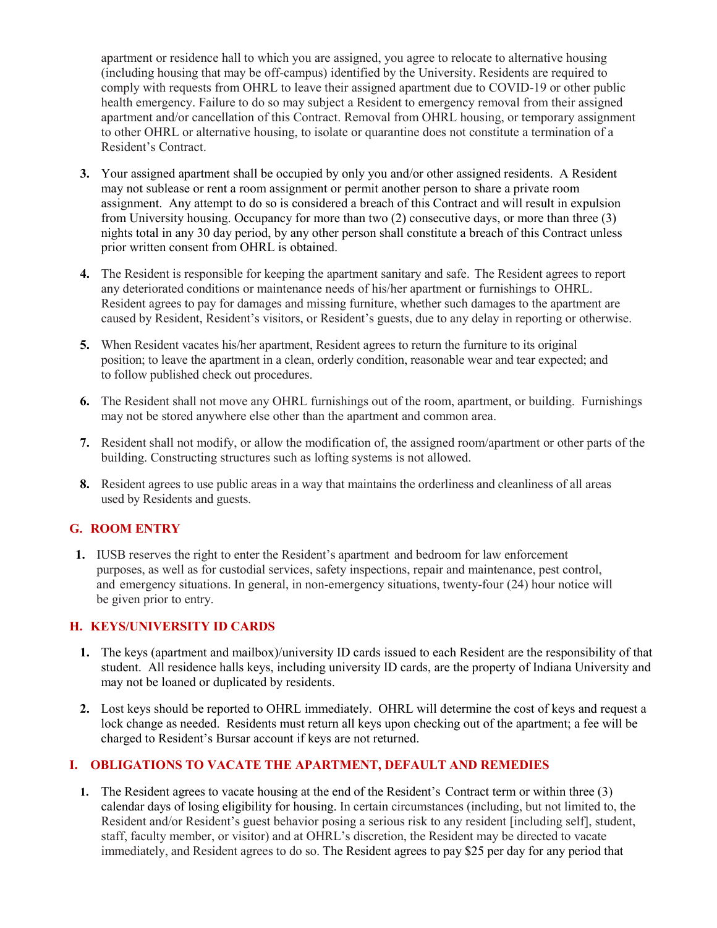apartment or residence hall to which you are assigned, you agree to relocate to alternative housing (including housing that may be off-campus) identified by the University. Residents are required to comply with requests from OHRL to leave their assigned apartment due to COVID-19 or other public health emergency. Failure to do so may subject a Resident to emergency removal from their assigned apartment and/or cancellation of this Contract. Removal from OHRL housing, or temporary assignment to other OHRL or alternative housing, to isolate or quarantine does not constitute a termination of a Resident's Contract.

- **3.** Your assigned apartment shall be occupied by only you and/or other assigned residents. A Resident may not sublease or rent a room assignment or permit another person to share a private room assignment. Any attempt to do so is considered a breach of this Contract and will result in expulsion from University housing. Occupancy for more than two (2) consecutive days, or more than three (3) nights total in any 30 day period, by any other person shall constitute a breach of this Contract unless prior written consent from OHRL is obtained.
- **4.** The Resident is responsible for keeping the apartment sanitary and safe. The Resident agrees to report any deteriorated conditions or maintenance needs of his/her apartment or furnishings to OHRL. Resident agrees to pay for damages and missing furniture, whether such damages to the apartment are caused by Resident, Resident's visitors, or Resident's guests, due to any delay in reporting or otherwise.
- **5.** When Resident vacates his/her apartment, Resident agrees to return the furniture to its original position; to leave the apartment in a clean, orderly condition, reasonable wear and tear expected; and to follow published check out procedures.
- **6.** The Resident shall not move any OHRL furnishings out of the room, apartment, or building. Furnishings may not be stored anywhere else other than the apartment and common area.
- **7.** Resident shall not modify, or allow the modification of, the assigned room/apartment or other parts of the building. Constructing structures such as lofting systems is not allowed.
- **8.** Resident agrees to use public areas in a way that maintains the orderliness and cleanliness of all areas used by Residents and guests.

### **G. ROOM ENTRY**

**1.** IUSB reserves the right to enter the Resident's apartment and bedroom for law enforcement purposes, as well as for custodial services, safety inspections, repair and maintenance, pest control, and emergency situations. In general, in non-emergency situations, twenty-four (24) hour notice will be given prior to entry.

#### **H. KEYS/UNIVERSITY ID CARDS**

- **1.** The keys (apartment and mailbox)/university ID cards issued to each Resident are the responsibility of that student. All residence halls keys, including university ID cards, are the property of Indiana University and may not be loaned or duplicated by residents.
- **2.** Lost keys should be reported to OHRL immediately. OHRL will determine the cost of keys and request a lock change as needed. Residents must return all keys upon checking out of the apartment; a fee will be charged to Resident's Bursar account if keys are not returned.

#### **I. OBLIGATIONS TO VACATE THE APARTMENT, DEFAULT AND REMEDIES**

**1.** The Resident agrees to vacate housing at the end of the Resident's Contract term or within three (3) calendar days of losing eligibility for housing. In certain circumstances (including, but not limited to, the Resident and/or Resident's guest behavior posing a serious risk to any resident [including self], student, staff, faculty member, or visitor) and at OHRL's discretion, the Resident may be directed to vacate immediately, and Resident agrees to do so. The Resident agrees to pay \$25 per day for any period that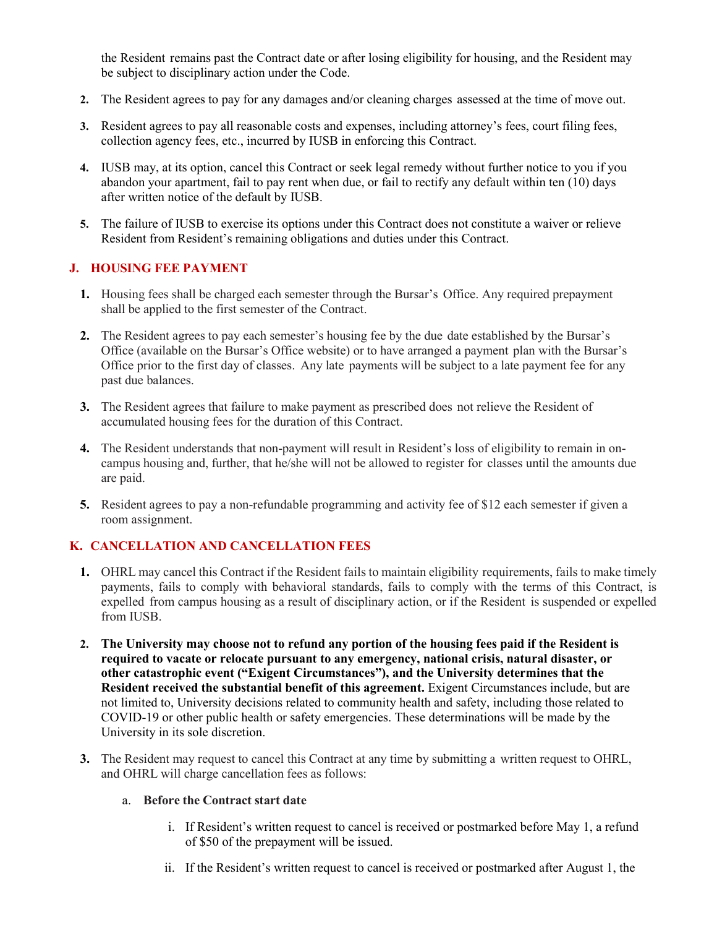the Resident remains past the Contract date or after losing eligibility for housing, and the Resident may be subject to disciplinary action under the Code.

- **2.** The Resident agrees to pay for any damages and/or cleaning charges assessed at the time of move out.
- **3.** Resident agrees to pay all reasonable costs and expenses, including attorney's fees, court filing fees, collection agency fees, etc., incurred by IUSB in enforcing this Contract.
- **4.** IUSB may, at its option, cancel this Contract or seek legal remedy without further notice to you if you abandon your apartment, fail to pay rent when due, or fail to rectify any default within ten (10) days after written notice of the default by IUSB.
- **5.** The failure of IUSB to exercise its options under this Contract does not constitute a waiver or relieve Resident from Resident's remaining obligations and duties under this Contract.

### **J. HOUSING FEE PAYMENT**

- **1.** Housing fees shall be charged each semester through the Bursar's Office. Any required prepayment shall be applied to the first semester of the Contract.
- **2.** The Resident agrees to pay each semester's housing fee by the due date established by the Bursar's Office (available on the Bursar's Office website) or to have arranged a payment plan with the Bursar's Office prior to the first day of classes. Any late payments will be subject to a late payment fee for any past due balances.
- **3.** The Resident agrees that failure to make payment as prescribed does not relieve the Resident of accumulated housing fees for the duration of this Contract.
- **4.** The Resident understands that non-payment will result in Resident's loss of eligibility to remain in oncampus housing and, further, that he/she will not be allowed to register for classes until the amounts due are paid.
- **5.** Resident agrees to pay a non-refundable programming and activity fee of \$12 each semester if given a room assignment.

### **K. CANCELLATION AND CANCELLATION FEES**

- **1.** OHRL may cancel this Contract if the Resident fails to maintain eligibility requirements, fails to make timely payments, fails to comply with behavioral standards, fails to comply with the terms of this Contract, is expelled from campus housing as a result of disciplinary action, or if the Resident is suspended or expelled from IUSB.
- **2. The University may choose not to refund any portion of the housing fees paid if the Resident is required to vacate or relocate pursuant to any emergency, national crisis, natural disaster, or other catastrophic event ("Exigent Circumstances"), and the University determines that the Resident received the substantial benefit of this agreement.** Exigent Circumstances include, but are not limited to, University decisions related to community health and safety, including those related to COVID-19 or other public health or safety emergencies. These determinations will be made by the University in its sole discretion.
- **3.** The Resident may request to cancel this Contract at any time by submitting a written request to OHRL, and OHRL will charge cancellation fees as follows:

#### a. **Before the Contract start date**

- i. If Resident's written request to cancel is received or postmarked before May 1, a refund of \$50 of the prepayment will be issued.
- ii. If the Resident's written request to cancel is received or postmarked after August 1, the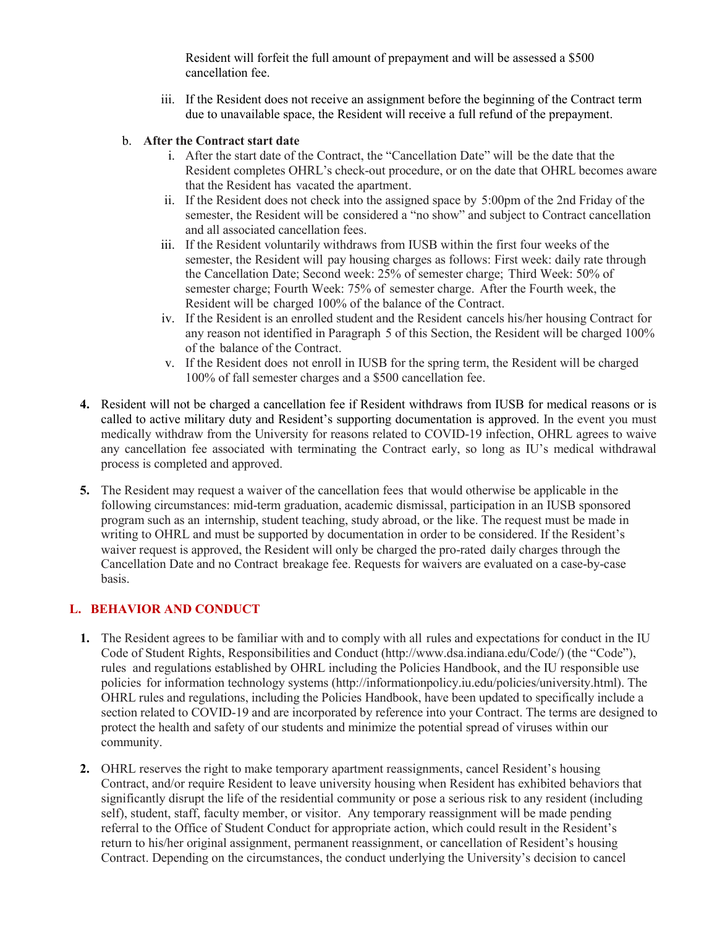Resident will forfeit the full amount of prepayment and will be assessed a \$500 cancellation fee.

- iii. If the Resident does not receive an assignment before the beginning of the Contract term due to unavailable space, the Resident will receive a full refund of the prepayment.
- b. **After the Contract start date**
	- i. After the start date of the Contract, the "Cancellation Date" will be the date that the Resident completes OHRL's check-out procedure, or on the date that OHRL becomes aware that the Resident has vacated the apartment.
	- ii. If the Resident does not check into the assigned space by 5:00pm of the 2nd Friday of the semester, the Resident will be considered a "no show" and subject to Contract cancellation and all associated cancellation fees.
	- iii. If the Resident voluntarily withdraws from IUSB within the first four weeks of the semester, the Resident will pay housing charges as follows: First week: daily rate through the Cancellation Date; Second week: 25% of semester charge; Third Week: 50% of semester charge; Fourth Week: 75% of semester charge. After the Fourth week, the Resident will be charged 100% of the balance of the Contract.
	- iv. If the Resident is an enrolled student and the Resident cancels his/her housing Contract for any reason not identified in Paragraph 5 of this Section, the Resident will be charged 100% of the balance of the Contract.
	- v. If the Resident does not enroll in IUSB for the spring term, the Resident will be charged 100% of fall semester charges and a \$500 cancellation fee.
- **4.** Resident will not be charged a cancellation fee if Resident withdraws from IUSB for medical reasons or is called to active military duty and Resident's supporting documentation is approved. In the event you must medically withdraw from the University for reasons related to COVID-19 infection, OHRL agrees to waive any cancellation fee associated with terminating the Contract early, so long as IU's medical withdrawal process is completed and approved.
- **5.** The Resident may request a waiver of the cancellation fees that would otherwise be applicable in the following circumstances: mid-term graduation, academic dismissal, participation in an IUSB sponsored program such as an internship, student teaching, study abroad, or the like. The request must be made in writing to OHRL and must be supported by documentation in order to be considered. If the Resident's waiver request is approved, the Resident will only be charged the pro-rated daily charges through the Cancellation Date and no Contract breakage fee. Requests for waivers are evaluated on a case-by-case basis.

## **L. BEHAVIOR AND CONDUCT**

- **1.** The Resident agrees to be familiar with and to comply with all rules and expectations for conduct in the IU Code of Student Rights, Responsibilities and Conduct [\(http://www.dsa.indiana.edu/Code/\)](http://www.dsa.indiana.edu/Code/)) (the "Code"), rules and regulations established by OHRL including the Policies Handbook, and the IU responsible use policies for information technology systems [\(http://informationpolicy.iu.edu/p](http://informationpolicy.iu.edu/)olicies/university.html). The OHRL rules and regulations, including the Policies Handbook, have been updated to specifically include a section related to COVID-19 and are incorporated by reference into your Contract. The terms are designed to protect the health and safety of our students and minimize the potential spread of viruses within our community.
- **2.** OHRL reserves the right to make temporary apartment reassignments, cancel Resident's housing Contract, and/or require Resident to leave university housing when Resident has exhibited behaviors that significantly disrupt the life of the residential community or pose a serious risk to any resident (including self), student, staff, faculty member, or visitor. Any temporary reassignment will be made pending referral to the Office of Student Conduct for appropriate action, which could result in the Resident's return to his/her original assignment, permanent reassignment, or cancellation of Resident's housing Contract. Depending on the circumstances, the conduct underlying the University's decision to cancel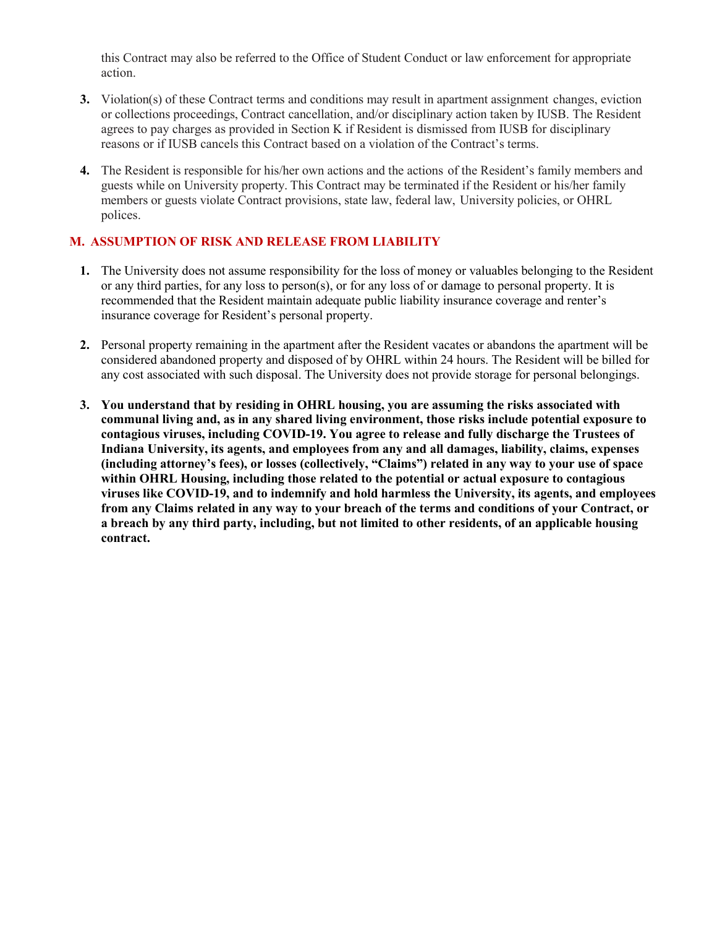this Contract may also be referred to the Office of Student Conduct or law enforcement for appropriate action.

- **3.** Violation(s) of these Contract terms and conditions may result in apartment assignment changes, eviction or collections proceedings, Contract cancellation, and/or disciplinary action taken by IUSB. The Resident agrees to pay charges as provided in Section K if Resident is dismissed from IUSB for disciplinary reasons or if IUSB cancels this Contract based on a violation of the Contract's terms.
- **4.** The Resident is responsible for his/her own actions and the actions of the Resident's family members and guests while on University property. This Contract may be terminated if the Resident or his/her family members or guests violate Contract provisions, state law, federal law, University policies, or OHRL polices.

## **M. ASSUMPTION OF RISK AND RELEASE FROM LIABILITY**

- **1.** The University does not assume responsibility for the loss of money or valuables belonging to the Resident or any third parties, for any loss to person(s), or for any loss of or damage to personal property. It is recommended that the Resident maintain adequate public liability insurance coverage and renter's insurance coverage for Resident's personal property.
- **2.** Personal property remaining in the apartment after the Resident vacates or abandons the apartment will be considered abandoned property and disposed of by OHRL within 24 hours. The Resident will be billed for any cost associated with such disposal. The University does not provide storage for personal belongings.
- **3. You understand that by residing in OHRL housing, you are assuming the risks associated with communal living and, as in any shared living environment, those risks include potential exposure to contagious viruses, including COVID-19. You agree to release and fully discharge the Trustees of Indiana University, its agents, and employees from any and all damages, liability, claims, expenses (including attorney's fees), or losses (collectively, "Claims") related in any way to your use of space within OHRL Housing, including those related to the potential or actual exposure to contagious viruses like COVID-19, and to indemnify and hold harmless the University, its agents, and employees from any Claims related in any way to your breach of the terms and conditions of your Contract, or a breach by any third party, including, but not limited to other residents, of an applicable housing contract.**